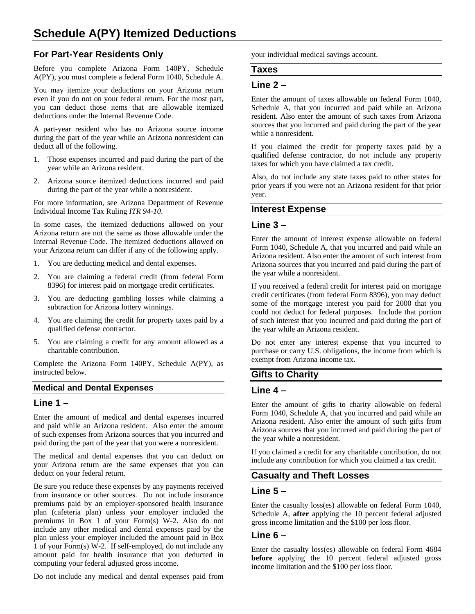# **For Part-Year Residents Only**

Before you complete Arizona Form 140PY, Schedule A(PY), you must complete a federal Form 1040, Schedule A.

You may itemize your deductions on your Arizona return even if you do not on your federal return. For the most part, you can deduct those items that are allowable itemized deductions under the Internal Revenue Code.

A part-year resident who has no Arizona source income during the part of the year while an Arizona nonresident can deduct all of the following.

- 1. Those expenses incurred and paid during the part of the year while an Arizona resident.
- 2. Arizona source itemized deductions incurred and paid during the part of the year while a nonresident.

For more information, see Arizona Department of Revenue Individual Income Tax Ruling *ITR 94-10*.

In some cases, the itemized deductions allowed on your Arizona return are not the same as those allowable under the Internal Revenue Code. The itemized deductions allowed on your Arizona return can differ if any of the following apply.

- 1. You are deducting medical and dental expenses.
- 2. You are claiming a federal credit (from federal Form 8396) for interest paid on mortgage credit certificates.
- 3. You are deducting gambling losses while claiming a subtraction for Arizona lottery winnings.
- 4. You are claiming the credit for property taxes paid by a qualified defense contractor.
- 5. You are claiming a credit for any amount allowed as a charitable contribution.

Complete the Arizona Form 140PY, Schedule A(PY), as instructed below.

#### **Medical and Dental Expenses**

### **Line 1 –**

Enter the amount of medical and dental expenses incurred and paid while an Arizona resident. Also enter the amount of such expenses from Arizona sources that you incurred and paid during the part of the year that you were a nonresident.

The medical and dental expenses that you can deduct on your Arizona return are the same expenses that you can deduct on your federal return.

Be sure you reduce these expenses by any payments received from insurance or other sources. Do not include insurance premiums paid by an employer-sponsored health insurance plan (cafeteria plan) unless your employer included the premiums in Box 1 of your Form(s) W-2. Also do not include any other medical and dental expenses paid by the plan unless your employer included the amount paid in Box 1 of your Form(s) W-2. If self-employed, do not include any amount paid for health insurance that you deducted in computing your federal adjusted gross income.

Do not include any medical and dental expenses paid from

your individual medical savings account.

#### **Taxes**

### **Line 2 –**

Enter the amount of taxes allowable on federal Form 1040, Schedule A, that you incurred and paid while an Arizona resident. Also enter the amount of such taxes from Arizona sources that you incurred and paid during the part of the year while a nonresident.

If you claimed the credit for property taxes paid by a qualified defense contractor, do not include any property taxes for which you have claimed a tax credit.

Also, do not include any state taxes paid to other states for prior years if you were not an Arizona resident for that prior year.

#### **Interest Expense**

#### **Line 3 –**

Enter the amount of interest expense allowable on federal Form 1040, Schedule A, that you incurred and paid while an Arizona resident. Also enter the amount of such interest from Arizona sources that you incurred and paid during the part of the year while a nonresident.

If you received a federal credit for interest paid on mortgage credit certificates (from federal Form 8396), you may deduct some of the mortgage interest you paid for 2000 that you could not deduct for federal purposes. Include that portion of such interest that you incurred and paid during the part of the year while an Arizona resident.

Do not enter any interest expense that you incurred to purchase or carry U.S. obligations, the income from which is exempt from Arizona income tax.

# **Gifts to Charity**

#### **Line 4 –**

Enter the amount of gifts to charity allowable on federal Form 1040, Schedule A, that you incurred and paid while an Arizona resident. Also enter the amount of such gifts from Arizona sources that you incurred and paid during the part of the year while a nonresident.

If you claimed a credit for any charitable contribution, do not include any contribution for which you claimed a tax credit.

# **Casualty and Theft Losses**

### **Line 5 –**

Enter the casualty loss(es) allowable on federal Form 1040, Schedule A, **after** applying the 10 percent federal adjusted gross income limitation and the \$100 per loss floor.

#### **Line 6 –**

Enter the casualty loss(es) allowable on federal Form 4684 **before** applying the 10 percent federal adjusted gross income limitation and the \$100 per loss floor.